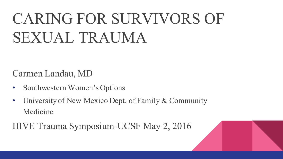## CARING FOR SURVIVORS OF SEXUAL TRAUMA

Carmen Landau, MD

- Southwestern Women's Options
- University of New Mexico Dept. of Family & Community Medicine

HIVE Trauma Symposium-UCSF May 2, 2016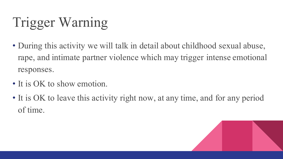#### Trigger Warning

- During this activity we will talk in detail about childhood sexual abuse, rape, and intimate partner violence which may trigger intense emotional responses.
- It is OK to show emotion.
- It is OK to leave this activity right now, at any time, and for any period of time.

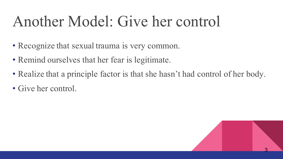## Another Model: Give her control

- Recognize that sexual trauma is very common.
- Remind ourselves that her fear is legitimate.
- Realize that a principle factor is that she hasn't had control of her body.
- Give her control.

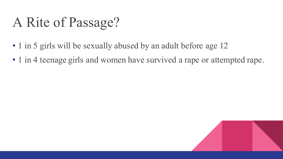#### A Rite of Passage?

- 1 in 5 girls will be sexually abused by an adult before age 12
- 1 in 4 teenage girls and women have survived a rape or attempted rape.

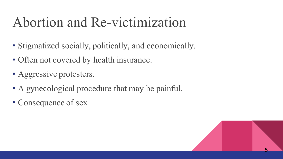#### Abortion and Re-victimization

- Stigmatized socially, politically, and economically.
- Often not covered by health insurance.
- Aggressive protesters.
- A gynecological procedure that may be painful.
- Consequence of sex

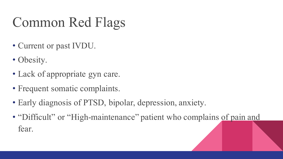#### Common Red Flags

- Current or past IVDU.
- Obesity.
- Lack of appropriate gyn care.
- Frequent somatic complaints.
- Early diagnosis of PTSD, bipolar, depression, anxiety.
- "Difficult" or "High-maintenance" patient who complains of pain and fear.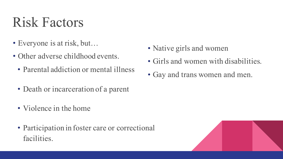#### Risk Factors

- Everyone is at risk, but…
- Other adverse childhood events.
	- Parental addiction or mental illness
	- Death or incarceration of a parent
	- Violence in the home
	- Participation in foster care or correctional facilities.
- Native girls and women
- Girls and women with disabilities.
- Gay and trans women and men.

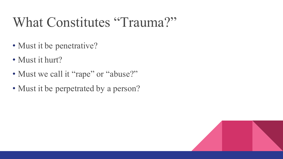#### What Constitutes "Trauma?"

- Must it be penetrative?
- Must it hurt?
- Must we call it "rape" or "abuse?"
- Must it be perpetrated by a person?

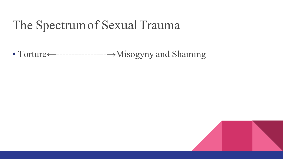#### The Spectrum of Sexual Trauma

• Torture←----------------→Misogyny and Shaming

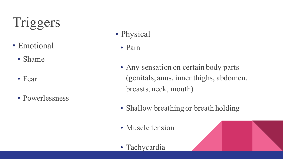### Triggers

- Emotional
	- Shame
	- Fear
	- Powerlessness
- Physical
	- Pain
	- Any sensation on certain body parts (genitals, anus, inner thighs, abdomen, breasts, neck, mouth)
	- Shallow breathing or breath holding
	- Muscle tension
	- Tachycardia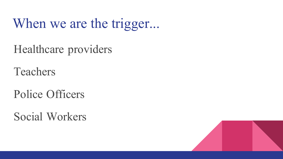When we are the trigger...

Healthcare providers

**Teachers** 

Police Officers

Social Workers

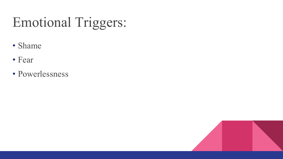#### Emotional Triggers:

- Shame
- Fear
- Powerlessness

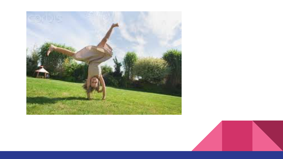

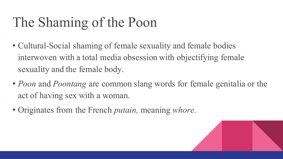#### The Shaming of the Poon

- Cultural-Social shaming of female sexuality and female bodies interwoven with a total media obsession with objectifying female sexuality and the female body.
- *Poon* and *Poontang* are common slang words for female genitalia or the act of having sex with a woman.
- Originates from the French *putain,* meaning *whore.*

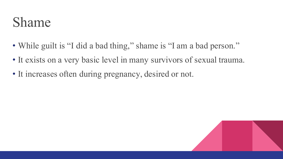#### Shame

- While guilt is "I did a bad thing," shame is "I am a bad person."
- It exists on a very basic level in many survivors of sexual trauma.
- It increases often during pregnancy, desired or not.

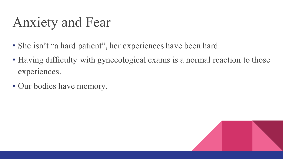#### Anxiety and Fear

- She isn't "a hard patient", her experiences have been hard.
- Having difficulty with gynecological exams is a normal reaction to those experiences.
- Our bodies have memory.

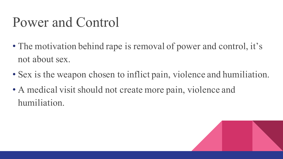#### Power and Control

- The motivation behind rape is removal of power and control, it's not about sex.
- Sex is the weapon chosen to inflict pain, violence and humiliation.
- A medical visit should not create more pain, violence and humiliation.

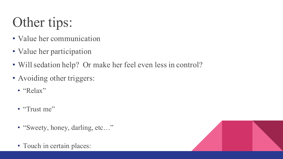### Other tips:

- Value her communication
- Value her participation
- Will sedation help? Or make her feel even less in control?
- Avoiding other triggers:
	- "Relax"
	- "Trust me"
	- "Sweety, honey, darling, etc..."
	- Touch in certain places:

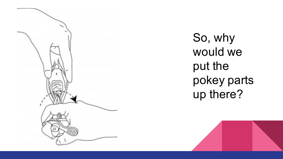

So, why would we put the pokey parts up there?

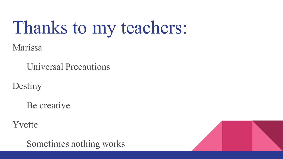# Thanks to my teachers:

Marissa

#### Universal Precautions

Destiny

Be creative

Yvette

Sometimes nothing works